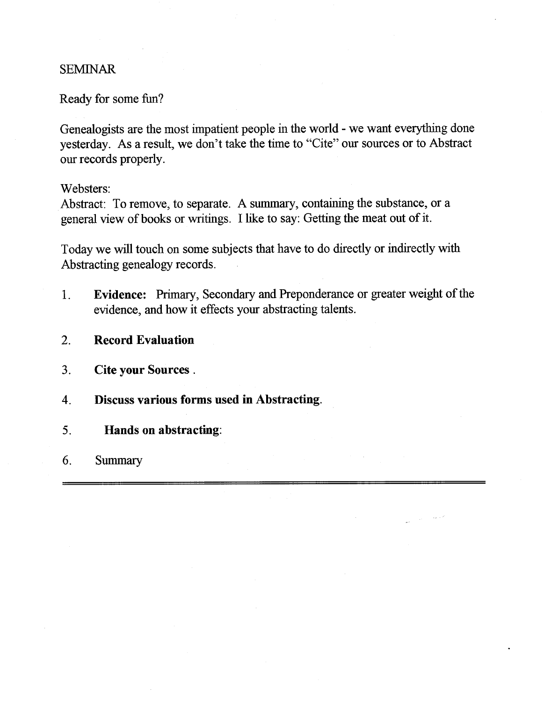# SEMINAR

Ready for some fun?

Genealogists are the most impatient people in the world - we want everything done yesterday. As a result, we don't take the time to "Cite" our sources or to Abstract our records properly.

Websters:

Abstract: To remove, to separate. A summary, containing the substance, or a general view of books or writings. I like to say: Getting the meat out of it.

Today we will touch on some subjects that have to do directly or indirectly with Abstracting genealogy records.

- **1. Evidence:** Primary, Secondary and Preponderance or greater weight of the evidence, and how it effects your abstracting talents.
- **2. Record Evaluation**
- **3. Cite your Sources.**
- **4. Discuss various forms used in Abstracting.**
- **5. Hands on abstracting:**
- 6. Summary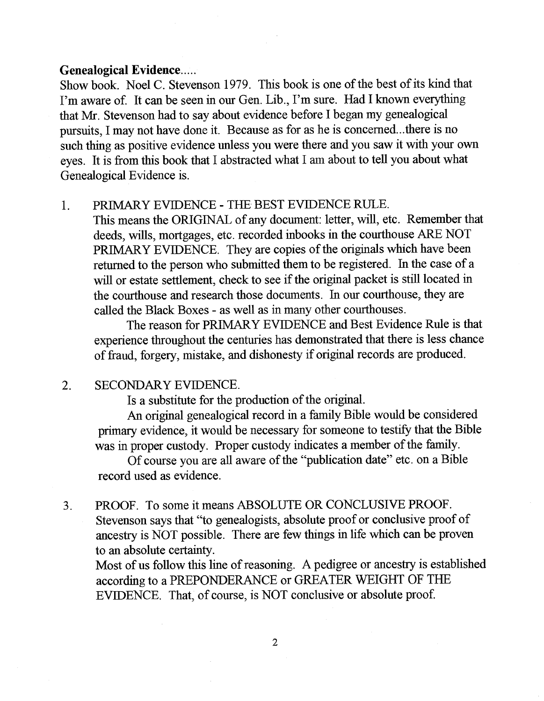#### **Genealogical Evidence**

Show book. Noel C. Stevenson 1979. This book is one of the best of its kind that I'm aware of. It can be seen in our Gen. Lib., I'm sure. Had I known everything that Mr. Stevenson had to say about evidence before I began my genealogical pursuits, I may not have done it. Because as for as he is concerned.. .there is no such thing as positive evidence unless you were there and you saw it with your own eyes. It is from this book that I abstracted what I am about to tell you about what Genealogical Evidence is.

## 1. PRIMARY EVIDENCE - THE BEST EVIDENCE RULE.

This means the ORIGINAL of any document: letter, will, etc. Remember that deeds, wills, mortgages, etc. recorded inbooks in the courthouse ARE NOT PRIMARY EVIDENCE. They are copies of the originals which have been returned to the person who submitted them to be registered. In the case of a will or estate settlement, check to see if the original packet is still located in the courthouse and research those documents. In our courthouse, they are called the Black Boxes - as well as in many other courthouses.

The reason for PRIMARY EVIDENCE and Best Evidence Rule is that experience throughout the centuries has demonstrated that there is less chance of fraud, forgery, mistake, and dishonesty if original records are produced.

## 2. SECONDARY EVIDENCE.

Is a substitute for the production of the original.

An original genealogical record in a family Bible would be considered primary evidence, it would be necessary for someone to testify that the Bible was in proper custody. Proper custody indicates a member of the family.

Of course you are all aware of the "publication date" etc. on a Bible record used as evidence.

3. PROOF. To some it means ABSOLUTE OR CONCLUSIVE PROOF. Stevenson says that "to genealogists, absolute proof or conclusive proof of ancestry is NOT possible. There are few things in life which can be proven to an absolute certainty.

Most of us follow this line of reasoning. A pedigree or ancestry is established according to a PREPONDERANCE or GREATER WEIGHT OF THE EVIDENCE. That, of course, is NOT conclusive or absolute proof.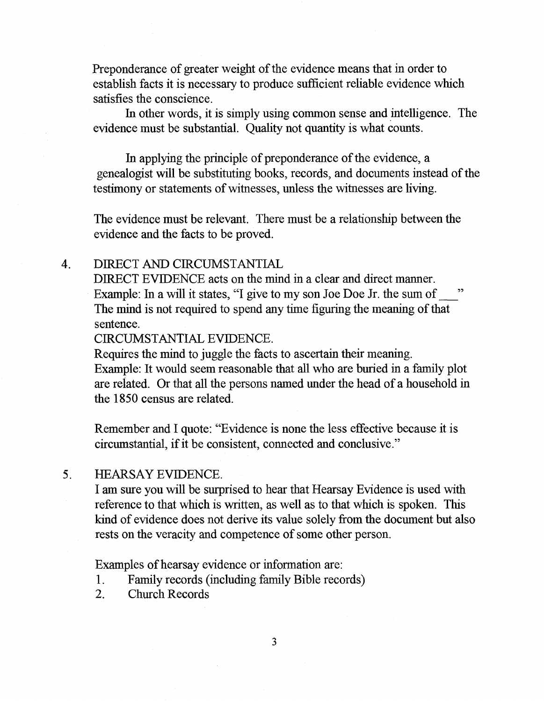Preponderance of greater weight of the evidence means that in order to establish facts it is necessary to produce sufficient reliable evidence which satisfies the conscience.

In other words, it is simply using common sense and intelligence. The evidence must be substantial. Quality not quantity is what counts.

In applying the principle of preponderance of the evidence, a genealogist will be substituting books, records, and documents instead of the testimony or statements of witnesses, unless the witnesses are living.

The evidence must be relevant. There must be a relationship between the evidence and the facts to be proved.

## 4. DIRECT AND CIRCUMSTANTIAL

DIRECT EVIDENCE acts on the mind in a clear and direct manner. Example: In a will it states, "I give to my son Joe Doe Jr. the sum of The mind is not required to spend any time figuring the meaning of that sentence.

CIRCUMSTANTIAL EVIDENCE.

Requires the mind to juggle the facts to ascertain their meaning. Example: It would seem reasonable that all who are buried in a family plot are related. Or that all the persons named under the head of a household in the 1850 census are related.

Remember and I quote: "Evidence is none the less effective because it is circumstantial, if it be consistent, connected and conclusive."

# 5. HEARSAY EVIDENCE.

I am sure you will be surprised to hear that Hearsay Evidence is used with reference to that which is written, as well as to that which is spoken. This kind of evidence does not derive its value solely from the document but also rests on the veracity and competence of some other person.

Examples of hearsay evidence or information are:

- 1. Family records (including family Bible records)
- 2. Church Records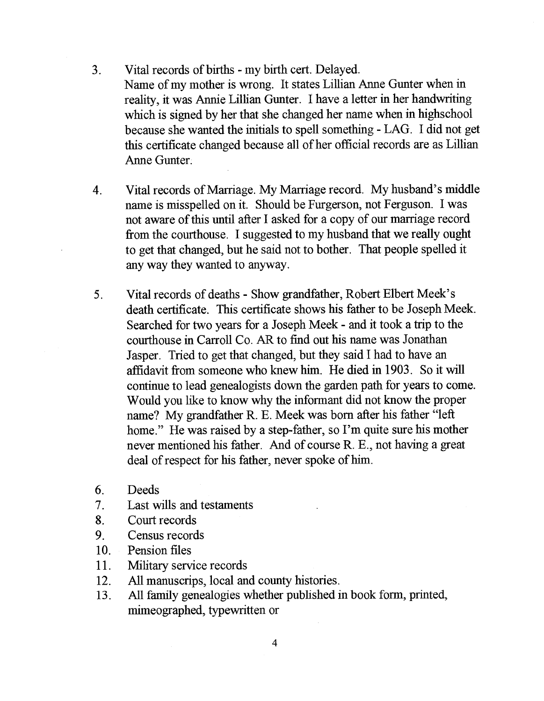- 3. Vital records of births my birth cert. Delayed. Name of my mother is wrong. It states Lillian Anne Gunter when in reality, it was Annie Lillian Gunter. I have a letter in her handwriting which is signed by her that she changed her name when in highschool because she wanted the initials to spell something - LAG. I did not get this certificate changed because all of her official records are as Lillian Anne Gunter.
- 4. Vital records of Marriage. My Marriage record. My husband's middle name is misspelled on it. Should be Furgerson, not Ferguson. I was not aware of this until after I asked for a copy of our marriage record from the courthouse. I suggested to my husband that we really ought to get that changed, but he said not to bother. That people spelled it any way they wanted to anyway.
- 5 Vital records of deaths Show grandfather, Robert Elbert Meek's death certificate. This certificate shows his father to be Joseph Meek. Searched for two years for a Joseph Meek - and it took a trip to the courthouse in Carroll Co. AR to find out his name was Jonathan Jasper. Tried to get that changed, but they said I had to have an affidavit from someone who knew him. He died in 1903. So it will continue to lead genealogists down the garden path for years to come. Would you like to know why the informant did not know the proper name? My grandfather R. E. Meek was born after his father "left home." He was raised by a step-father, so I'm quite sure his mother never mentioned his father. And of course R. E., not having a great deal of respect for his father, never spoke of him
- 6. Deeds
- 7. Last wills and testaments
- 8. Court records
- 9. Census records
- 10. Pension files
- 11. Military service records
- 12. All manuscrips, local and county histories.
- 13. All family genealogies whether published in book form, printed, mimeographed, typewritten or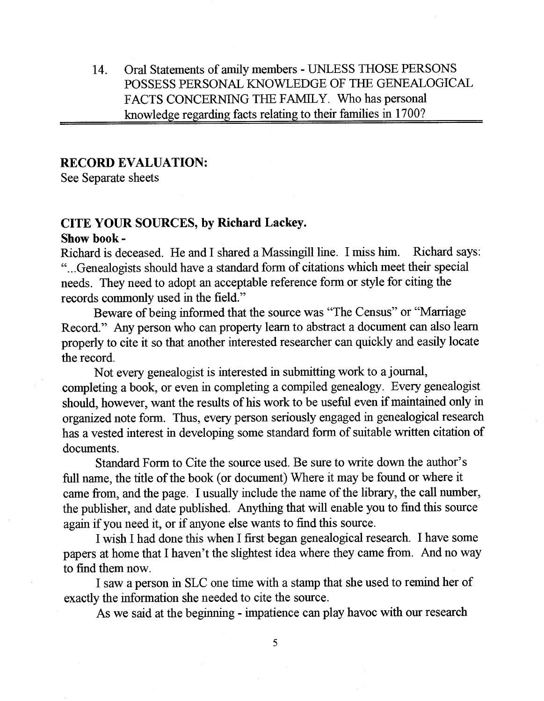14. Oral Statements of amily members - UNLESS THOSE PERSONS POSSESS PERSONAL KNOWLEDGE OF THE GENEALOGICAL FACTS CONCERNING THE FAMILY. Who has personal knowledge regarding facts relating to their families in 1700?

#### **RECORD EVALUATION:**

See Separate sheets

# **CITE YOUR SOURCES, by Richard Lackey.**

### **Show book** -

Richard is deceased. He and I shared a Massingill line. I miss him. Richard says: "...Genealogists should have a standard form of citations which meet their special needs. They need to adopt an acceptable reference form or style for citing the records commonly used in the field."

Beware of being informed that the source was "The Census" or "Marriage Record." Any person who can property learn to abstract a document can also learn properly to cite it so that another interested researcher can quickly and easily locate the record.

Not every genealogist is interested in submitting work to a journal, completing a book, or even in completing a compiled genealogy. Every genealogist should, however, want the results of his work to be useful even if maintained only in organized note form. Thus, every person seriously engaged in genealogical research has a vested interest in developing some standard form of suitable written citation of documents.

Standard Form to Cite the source used. Be sure to write down the author's full name, the title of the book (or document) Where it may be found or where it came from, and the page. I usually include the name of the library, the call number, the publisher, and date published. Anything that will enable you to find this source again if you need it, or if anyone else wants to find this source.

I wish I had done this when I first began genealogical research. I have some papers at home that I haven't the slightest idea where they came from. And no way to find them now.

I saw a person in SLC one time with a stamp that she used to remind her of exactly the information she needed to cite the source.

As we said at the beginning - impatience can play havoc with our research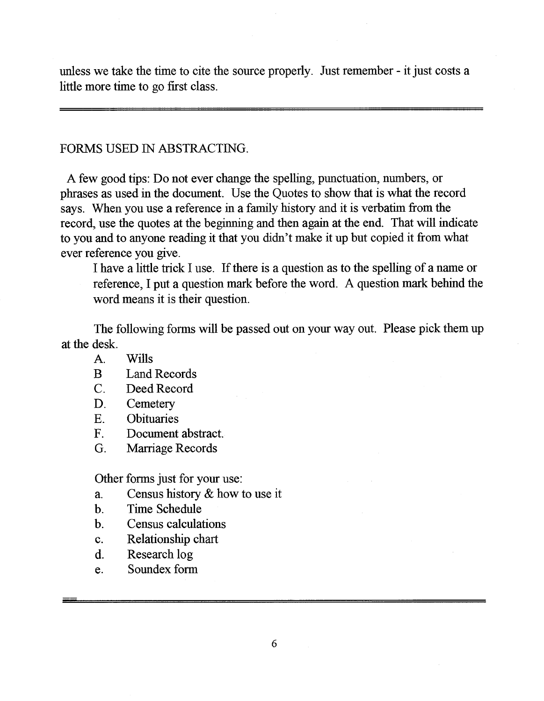unless we take the time to cite the source properly. Just remember - it just costs a little more time to go first class.

# FORMS USED IN ABSTRACTING.

A few good tips: Do not ever change the spelling, punctuation, numbers, or phrases as used in the document. Use the Quotes to show that is what the record says. When you use a reference in a family history and it is verbatim from the record, use the quotes at the beginning and then again at the end. That will indicate to you and to anyone reading it that you didn't make it up but copied it from what ever reference you give.

I have a little trick I use. If there is a question as to the spelling of a name or reference, I put a question mark before the word. A question mark behind the word means it is their question.

The following forms will be passed out on your way out. Please pick them up at the desk.

- A. Wills
- B Land Records
- C. Deed Record
- D. Cemetery
- E. Obituaries
- F. Document abstract.
- G. Marriage Records

Other forms just for your use:

- a. Census history & how to use it
- b. Time Schedule
- b. Census calculations
- c. Relationship chart
- d. Research log
- e. Soundex form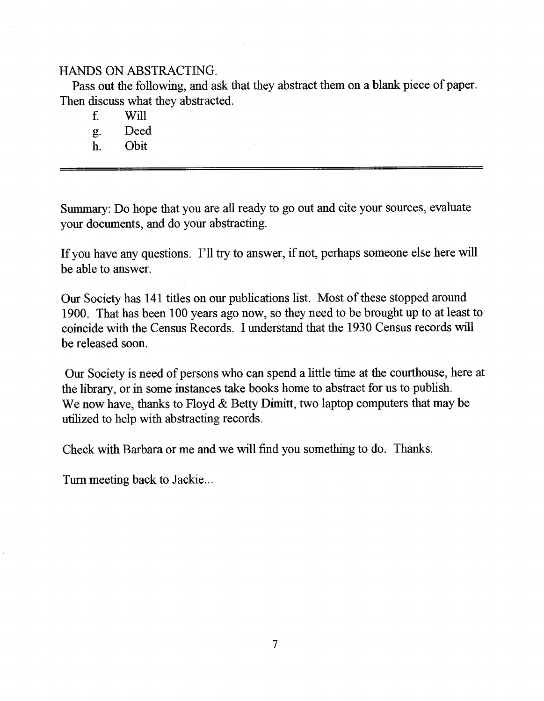# HANDS ON ABSTRACTING.

Pass out the following, and ask that they abstract them on a blank piece of paper. Then discuss what they abstracted.

- f. Will
- g. Deed
- h. Obit

Summary: Do hope that you are all ready to go out and cite your sources, evaluate your documents, and do your abstracting.

If you have any questions. I'll try to answer, if not, perhaps someone else here will be able to answer.

Our Society has 141 titles on our publications list. Most of these stopped around 1900. That has been 100 years ago now, so they need to be brought up to at least to coincide with the Census Records. I understand that the 1930 Census records will be released soon.

Our Society is need of persons who can spend a little time at the courthouse, here at the library, or in some instances take books home to abstract for us to publish. We now have, thanks to Floyd & Betty Dimitt, two laptop computers that may be utilized to help with abstracting records.

Check with Barbara or me and we will find you something to do. Thanks.

Turn meeting back to Jackie...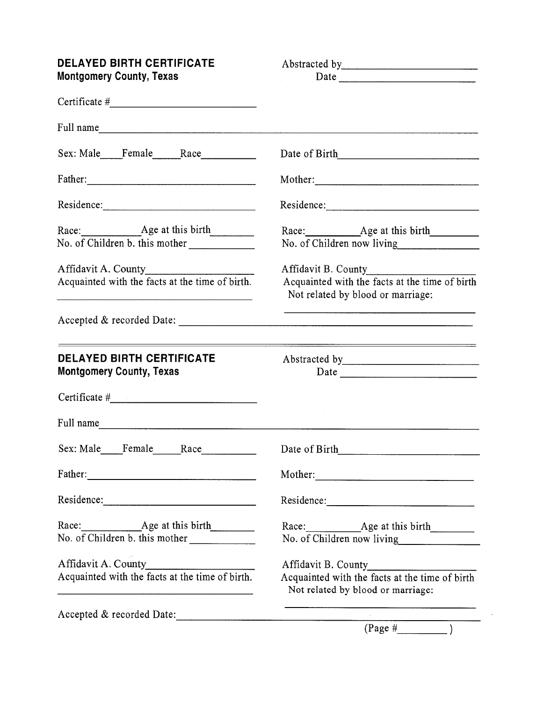| <b>DELAYED BIRTH CERTIFICATE</b><br><b>Montgomery County, Texas</b>                                                                                                                             |                                                                                                            |  |  |  |
|-------------------------------------------------------------------------------------------------------------------------------------------------------------------------------------------------|------------------------------------------------------------------------------------------------------------|--|--|--|
|                                                                                                                                                                                                 |                                                                                                            |  |  |  |
| Full name                                                                                                                                                                                       |                                                                                                            |  |  |  |
| Sex: Male Female Race                                                                                                                                                                           |                                                                                                            |  |  |  |
|                                                                                                                                                                                                 |                                                                                                            |  |  |  |
| Residence:                                                                                                                                                                                      |                                                                                                            |  |  |  |
| Race: Age at this birth<br>No. of Children b. this mother                                                                                                                                       |                                                                                                            |  |  |  |
| Affidavit A. County<br>Acquainted with the facts at the time of birth.<br><u> 1989 - Andrea Station, amerikan basar personal di sebagai personal di sebagai personal di sebagai personal di</u> | Affidavit B. County<br>Acquainted with the facts at the time of birth<br>Not related by blood or marriage: |  |  |  |
|                                                                                                                                                                                                 |                                                                                                            |  |  |  |
| <u> 1989 - Johann Stein, mars an de Brasilia (b. 1989)</u><br><b>DELAYED BIRTH CERTIFICATE</b><br><b>Montgomery County, Texas</b>                                                               |                                                                                                            |  |  |  |
|                                                                                                                                                                                                 |                                                                                                            |  |  |  |
| Full name                                                                                                                                                                                       |                                                                                                            |  |  |  |
| Sex: Male Female Race                                                                                                                                                                           |                                                                                                            |  |  |  |
|                                                                                                                                                                                                 | Mother:                                                                                                    |  |  |  |
|                                                                                                                                                                                                 | Residence:                                                                                                 |  |  |  |
| Race: Age at this birth<br>No. of Children b. this mother                                                                                                                                       | No. of Children now living                                                                                 |  |  |  |
|                                                                                                                                                                                                 |                                                                                                            |  |  |  |
| Acquainted with the facts at the time of birth.<br><u> 1960 - 1961 - 1962 - 1963 - 1964 - 1965 - 1966 - 1967 - 1968 - 1969 - 1969 - 1969 - 1969 - 1969 - 1969 - 196</u>                         | Acquainted with the facts at the time of birth<br>Not related by blood or marriage:                        |  |  |  |
|                                                                                                                                                                                                 | Accepted & recorded Date: $\overline{\qquad \qquad }$ (Page $\#$ )                                         |  |  |  |
|                                                                                                                                                                                                 |                                                                                                            |  |  |  |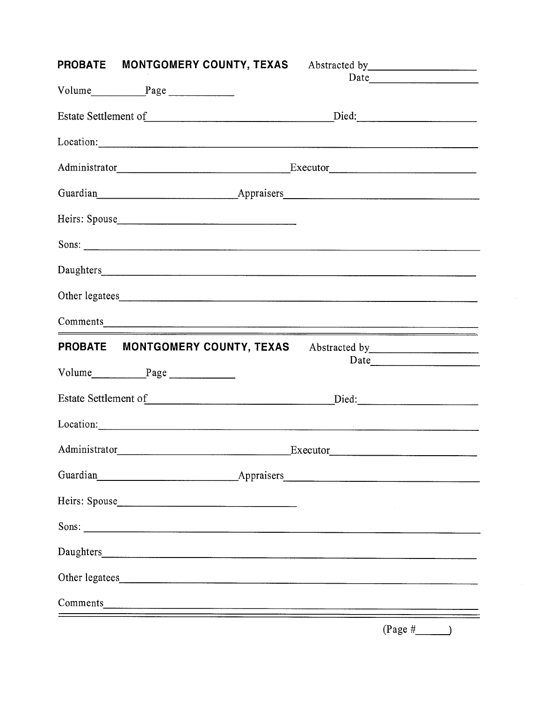| <b>PROBATE MONTGOMERY COUNTY, TEXAS</b> Abstracted by _________________________________                                                                                                                                              |                                                                                                                                                                                                                                |
|--------------------------------------------------------------------------------------------------------------------------------------------------------------------------------------------------------------------------------------|--------------------------------------------------------------------------------------------------------------------------------------------------------------------------------------------------------------------------------|
|                                                                                                                                                                                                                                      |                                                                                                                                                                                                                                |
|                                                                                                                                                                                                                                      |                                                                                                                                                                                                                                |
|                                                                                                                                                                                                                                      |                                                                                                                                                                                                                                |
|                                                                                                                                                                                                                                      |                                                                                                                                                                                                                                |
| Administrator Executor Executor Executor Executor Executor Executor Executor Executor Executor Executor Executor Executor Executor Executor Executor Executor Executor Executor Executor Executor Executor Executor Executor E       |                                                                                                                                                                                                                                |
|                                                                                                                                                                                                                                      | Guardian Appraisers Appraisers Appraiser Appraiser Appraiser Appraiser Appraiser Appraiser Appraiser Appraiser                                                                                                                 |
|                                                                                                                                                                                                                                      |                                                                                                                                                                                                                                |
|                                                                                                                                                                                                                                      |                                                                                                                                                                                                                                |
|                                                                                                                                                                                                                                      |                                                                                                                                                                                                                                |
|                                                                                                                                                                                                                                      |                                                                                                                                                                                                                                |
|                                                                                                                                                                                                                                      |                                                                                                                                                                                                                                |
|                                                                                                                                                                                                                                      | PROBATE MONTGOMERY COUNTY, TEXAS Abstracted by _________________________________                                                                                                                                               |
|                                                                                                                                                                                                                                      | <b>Contractor</b>                                                                                                                                                                                                              |
|                                                                                                                                                                                                                                      |                                                                                                                                                                                                                                |
|                                                                                                                                                                                                                                      |                                                                                                                                                                                                                                |
|                                                                                                                                                                                                                                      | Executor<br><u>Executor</u>                                                                                                                                                                                                    |
| Guardian 1989                                                                                                                                                                                                                        | Appraisers Appraisers Appraiser Appraiser Appraiser Appraiser Appraiser Appraiser Appraiser Approximate Approximate Approximate Approximate Approximate Approximate Approximate Approximate Approximate Approximate Approximat |
|                                                                                                                                                                                                                                      |                                                                                                                                                                                                                                |
| Sons:                                                                                                                                                                                                                                |                                                                                                                                                                                                                                |
| Daughters <b>Executive Contract Contract Contract Contract Contract Contract Contract Contract Contract Contract Contract Contract Contract Contract Contract Contract Contract Contract Contract Contract Contract Contract Con</b> |                                                                                                                                                                                                                                |
|                                                                                                                                                                                                                                      |                                                                                                                                                                                                                                |
|                                                                                                                                                                                                                                      |                                                                                                                                                                                                                                |
|                                                                                                                                                                                                                                      |                                                                                                                                                                                                                                |

 $(Page \#$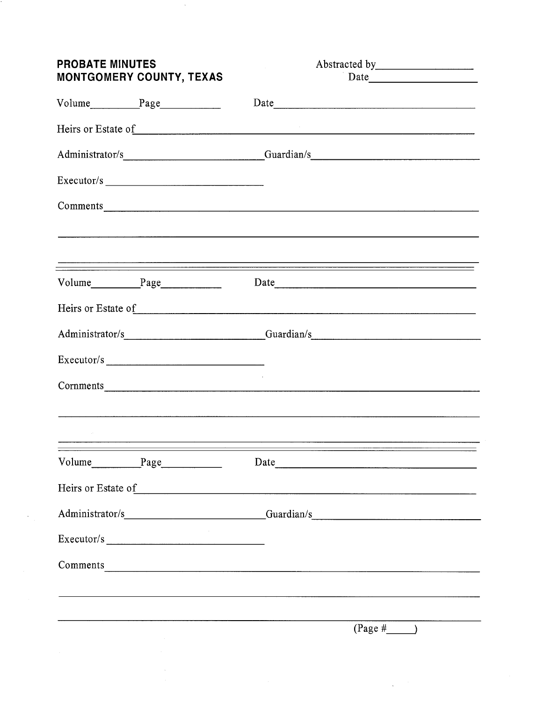| <b>PROBATE MINUTES</b><br><b>MONTGOMERY COUNTY, TEXAS</b> |                                      | Abstracted by <b>Exercise 2.2</b>                                                                                                                                                                                                   |  |  |
|-----------------------------------------------------------|--------------------------------------|-------------------------------------------------------------------------------------------------------------------------------------------------------------------------------------------------------------------------------------|--|--|
|                                                           |                                      |                                                                                                                                                                                                                                     |  |  |
|                                                           |                                      |                                                                                                                                                                                                                                     |  |  |
|                                                           |                                      | Heirs or Estate of example and the state of the state of the state of the state of the state of the state of the state of the state of the state of the state of the state of the state of the state of the state of the state      |  |  |
|                                                           |                                      | Administrator/s____________________________Guardian/s___________________________                                                                                                                                                    |  |  |
|                                                           |                                      |                                                                                                                                                                                                                                     |  |  |
|                                                           |                                      | Comments expression and the comments of the comments of the comments of the comments of the comments of the comments of the comments of the comments of the comments of the comments of the comments of the comments of the co      |  |  |
|                                                           |                                      | ,他们的人们也不能在这里,他们的人们也不能在这里,他们的人们也不能在这里,他们的人们也不能在这里,他们的人们也不能在这里,他们的人们也不能在这里,他们的人们也不                                                                                                                                                    |  |  |
|                                                           |                                      |                                                                                                                                                                                                                                     |  |  |
|                                                           |                                      | Heirs or Estate of                                                                                                                                                                                                                  |  |  |
|                                                           |                                      | Administrator/s Guardian/s Guardian/s                                                                                                                                                                                               |  |  |
|                                                           |                                      |                                                                                                                                                                                                                                     |  |  |
|                                                           |                                      |                                                                                                                                                                                                                                     |  |  |
|                                                           |                                      |                                                                                                                                                                                                                                     |  |  |
|                                                           |                                      | <u> 1980 - Andrea Santa Andrea Andrea Santa Andrea Andrea Andrea Andrea Andrea Andrea Andrea Andrea Andrea Andre</u>                                                                                                                |  |  |
|                                                           |                                      | Date                                                                                                                                                                                                                                |  |  |
|                                                           |                                      | Heirs or Estate of example and the set of the set of the set of the set of the set of the set of the set of the set of the set of the set of the set of the set of the set of the set of the set of the set of the set of the       |  |  |
|                                                           |                                      |                                                                                                                                                                                                                                     |  |  |
|                                                           | and the company of the<br>Executor/s |                                                                                                                                                                                                                                     |  |  |
|                                                           |                                      | Comments <u>and</u> the comments of the comments of the comments of the comments of the comments of the comments of the comments of the comments of the comments of the comments of the comments of the comments of the comments of |  |  |
|                                                           |                                      |                                                                                                                                                                                                                                     |  |  |
|                                                           |                                      | $(\text{Page H} \qquad)$                                                                                                                                                                                                            |  |  |
|                                                           |                                      |                                                                                                                                                                                                                                     |  |  |
|                                                           |                                      |                                                                                                                                                                                                                                     |  |  |

 $\label{eq:2} \frac{1}{\sqrt{2}}\sum_{i=1}^n\frac{1}{\sqrt{2}}\sum_{i=1}^n\frac{1}{\sqrt{2}}\sum_{i=1}^n\frac{1}{\sqrt{2}}\sum_{i=1}^n\frac{1}{\sqrt{2}}\sum_{i=1}^n\frac{1}{\sqrt{2}}\sum_{i=1}^n\frac{1}{\sqrt{2}}\sum_{i=1}^n\frac{1}{\sqrt{2}}\sum_{i=1}^n\frac{1}{\sqrt{2}}\sum_{i=1}^n\frac{1}{\sqrt{2}}\sum_{i=1}^n\frac{1}{\sqrt{2}}\sum_{i=1}^n\frac{1$ 

 $\mathcal{O}(\mathcal{A})$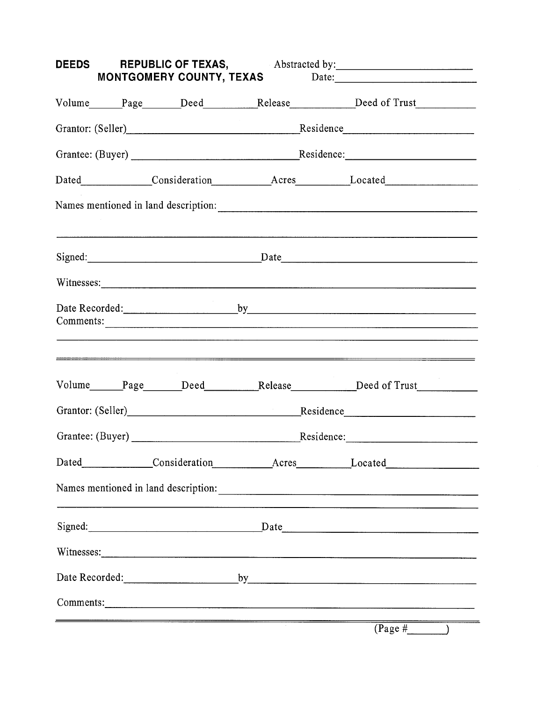| DEEDS REPUBLIC OF TEXAS, Abstracted by: 1990 Manuscript A. Abstracted by:<br>MONTGOMERY COUNTY, TEXAS Date: Date: |  |  |  |                                                                                                                                                                                                                                |
|-------------------------------------------------------------------------------------------------------------------|--|--|--|--------------------------------------------------------------------------------------------------------------------------------------------------------------------------------------------------------------------------------|
|                                                                                                                   |  |  |  | Volume Page Deed Release Deed of Trust                                                                                                                                                                                         |
|                                                                                                                   |  |  |  | Grantor: (Seller)<br>Expansion of Residence<br>Residence<br>Residence                                                                                                                                                          |
|                                                                                                                   |  |  |  |                                                                                                                                                                                                                                |
|                                                                                                                   |  |  |  | Dated Consideration Acres Located Located                                                                                                                                                                                      |
|                                                                                                                   |  |  |  |                                                                                                                                                                                                                                |
|                                                                                                                   |  |  |  | Signed: <u>Date</u> Date <b>Date</b> <u>Date</u> <b>Date Date Date Date Date Date Date Date Date Date Date Date Date Date Date Date Date Date Date Date Date Date Date Date Date Date Date</b>                                 |
|                                                                                                                   |  |  |  |                                                                                                                                                                                                                                |
|                                                                                                                   |  |  |  | ,我们也不会不会不会。""我们的,你们也不会不会不会不会。""我们的,你们也不会不会不会不会。""我们的,你们也不会不会不会不会。""我们的,你们也不会不会不会                                                                                                                                               |
|                                                                                                                   |  |  |  | Volume______Page______Deed__________Release___________Deed of Trust_____________                                                                                                                                               |
|                                                                                                                   |  |  |  | Grantor: (Seller)<br>example and the Residence<br>Residence<br>Residence                                                                                                                                                       |
|                                                                                                                   |  |  |  |                                                                                                                                                                                                                                |
|                                                                                                                   |  |  |  | Dated Consideration Acres Located Located                                                                                                                                                                                      |
|                                                                                                                   |  |  |  | Names mentioned in land description: Manual School and School and School and School and School and School and School and School and School and School and School and School and School and School and School and School and Sc |
|                                                                                                                   |  |  |  | Signed: Date Date                                                                                                                                                                                                              |
|                                                                                                                   |  |  |  |                                                                                                                                                                                                                                |
|                                                                                                                   |  |  |  |                                                                                                                                                                                                                                |
|                                                                                                                   |  |  |  |                                                                                                                                                                                                                                |
|                                                                                                                   |  |  |  | $(\text{Page H}$ )                                                                                                                                                                                                             |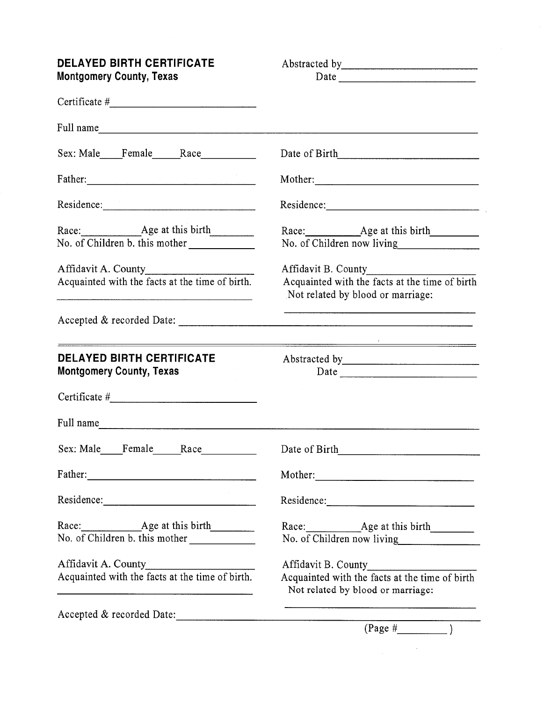| <b>DELAYED BIRTH CERTIFICATE</b><br><b>Montgomery County, Texas</b>    |                                                                                                                                                                                                                                |  |  |  |
|------------------------------------------------------------------------|--------------------------------------------------------------------------------------------------------------------------------------------------------------------------------------------------------------------------------|--|--|--|
|                                                                        |                                                                                                                                                                                                                                |  |  |  |
|                                                                        |                                                                                                                                                                                                                                |  |  |  |
| Sex: Male Female Race                                                  |                                                                                                                                                                                                                                |  |  |  |
|                                                                        | Mother: New York Changes and the Changes of the Changes of the Changes of the Changes of the Changes of the Changes of the Changes of the Changes of the Changes of the Changes of the Changes of the Changes of the Changes o |  |  |  |
|                                                                        |                                                                                                                                                                                                                                |  |  |  |
| Race: Age at this birth<br>No. of Children b. this mother              | No. of Children now living                                                                                                                                                                                                     |  |  |  |
| Affidavit A. County                                                    | Affidavit B. County                                                                                                                                                                                                            |  |  |  |
| Acquainted with the facts at the time of birth.                        | Acquainted with the facts at the time of birth<br>Not related by blood or marriage:                                                                                                                                            |  |  |  |
|                                                                        | the contract of the contract of the contract of the contract of the contract of the contract of the                                                                                                                            |  |  |  |
| <b>DELAYED BIRTH CERTIFICATE</b><br><b>Montgomery County, Texas</b>    | ${\small \textbf{Date}} \begin{tabular}{l} \textbf{Date} \end{tabular}$                                                                                                                                                        |  |  |  |
|                                                                        |                                                                                                                                                                                                                                |  |  |  |
| Full name                                                              |                                                                                                                                                                                                                                |  |  |  |
|                                                                        |                                                                                                                                                                                                                                |  |  |  |
|                                                                        | Mother:                                                                                                                                                                                                                        |  |  |  |
|                                                                        |                                                                                                                                                                                                                                |  |  |  |
| No. of Children b. this mother                                         | No. of Children now living                                                                                                                                                                                                     |  |  |  |
| Affidavit A. County<br>Acquainted with the facts at the time of birth. |                                                                                                                                                                                                                                |  |  |  |
|                                                                        | Acquainted with the facts at the time of birth<br>Not related by blood or marriage:                                                                                                                                            |  |  |  |
|                                                                        | Accepted & recorded Date: $\overline{(Page + \_)}$                                                                                                                                                                             |  |  |  |
|                                                                        |                                                                                                                                                                                                                                |  |  |  |

 $\label{eq:2.1} \frac{1}{\sqrt{2\pi}}\int_{\mathbb{R}^3}\frac{1}{\sqrt{2\pi}}\left(\frac{1}{\sqrt{2\pi}}\right)^2\frac{1}{\sqrt{2\pi}}\frac{1}{\sqrt{2\pi}}\frac{1}{\sqrt{2\pi}}\frac{1}{\sqrt{2\pi}}\frac{1}{\sqrt{2\pi}}\frac{1}{\sqrt{2\pi}}\frac{1}{\sqrt{2\pi}}\frac{1}{\sqrt{2\pi}}\frac{1}{\sqrt{2\pi}}\frac{1}{\sqrt{2\pi}}\frac{1}{\sqrt{2\pi}}\frac{1}{\sqrt{2\pi}}\frac{1}{\sqrt{2\pi}}\frac$